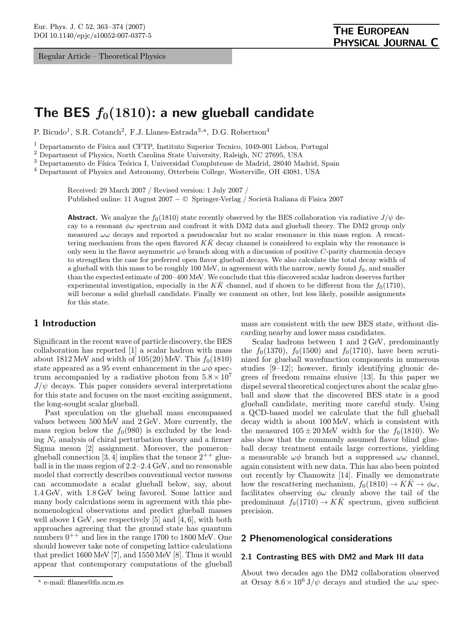Regular Article – Theoretical Physics

# The BES  $f_0(1810)$ : a new glueball candidate

P. Bicudo<sup>1</sup>, S.R. Cotanch<sup>2</sup>, F.J. Llanes-Estrada<sup>3,a</sup>, D.G. Robertson<sup>4</sup>

 $<sup>1</sup>$  Departamento de Física and CFTP, Instituto Superior Tecnico, 1049-001 Lisboa, Portugal</sup>

<sup>2</sup> Department of Physics, North Carolina State University, Raleigh, NC 27695, USA

 $^3$  Departamento de Física Teórica I, Universidad Complutense de Madrid, 28040 Madrid, Spain

<sup>4</sup> Department of Physics and Astronomy, Otterbein College, Westerville, OH 43081, USA

Received: 29 March 2007 / Revised version: 1 July 2007 / Published online: 11 August 2007 – © Springer-Verlag / Società Italiana di Fisica 2007

**Abstract.** We analyze the  $f_0(1810)$  state recently observed by the BES collaboration via radiative  $J/\psi$  decay to a resonant  $\phi\omega$  spectrum and confront it with DM2 data and glueball theory. The DM2 group only measured  $\omega\omega$  decays and reported a pseudoscalar but no scalar resonance in this mass region. A rescattering mechanism from the open flavored  $K\bar{K}$  decay channel is considered to explain why the resonance is only seen in the flavor asymmetric  $\omega\phi$  branch along with a discussion of positive C-parity charmonia decays to strengthen the case for preferred open flavor glueball decays. We also calculate the total decay width of a glueball with this mass to be roughly 100 MeV, in agreement with the narrow, newly found  $f_0$ , and smaller than the expected estimate of 200–400 MeV. We conclude that this discovered scalar hadron deserves further experimental investigation, especially in the  $K\bar{K}$  channel, and if shown to be different from the  $f_0(1710)$ , will become a solid glueball candidate. Finally we comment on other, but less likely, possible assignments for this state.

# 1 Introduction

Significant in the recent wave of particle discovery, the BES collaboration has reported [1] a scalar hadron with mass about  $1812 \text{ MeV}$  and width of  $105(20) \text{ MeV}$ . This  $f_0(1810)$ state appeared as a 95 event enhancement in the  $\omega\phi$  spectrum accompanied by a radiative photon from  $5.8 \times 10^7$  $J/\psi$  decays. This paper considers several interpretations for this state and focuses on the most exciting assignment, the long-sought scalar glueball.

Past speculation on the glueball mass encompassed values between 500 MeV and 2 GeV. More currently, the mass region below the  $f_0(980)$  is excluded by the leading  $N_c$  analysis of chiral perturbation theory and a firmer Sigma meson [2] assignment. Moreover, the pomeron– glueball connection [3, 4] implies that the tensor  $2^{++}$  glueball is in the mass region of 2.2–2.4 GeV, and no reasonable model that correctly describes conventional vector mesons can accommodate a scalar glueball below, say, about 1.4 GeV, with 1.8 GeV being favored. Some lattice and many body calculations seem in agreement with this phenomenological observations and predict glueball masses well above 1 GeV, see respectively [5] and [4, 6], with both approaches agreeing that the ground state has quantum numbers  $0^{++}$  and lies in the range 1700 to 1800 MeV. One should however take note of competing lattice calculations that predict 1600 MeV [7], and 1550 MeV [8]. Thus it would appear that contemporary computations of the glueball mass are consistent with the new BES state, without discarding nearby and lower mass candidates.

Scalar hadrons between 1 and 2 GeV, predominantly the  $f_0(1370)$ ,  $f_0(1500)$  and  $f_0(1710)$ , have been scrutinized for glueball wavefunction components in numerous studies [9–12]; however, firmly identifying gluonic degrees of freedom remains elusive [13]. In this paper we dispel several theoretical conjectures about the scalar glueball and show that the discovered BES state is a good glueball candidate, meriting more careful study. Using a QCD-based model we calculate that the full glueball decay width is about 100 MeV, which is consistent with the measured  $105 \pm 20$  MeV width for the  $f_0(1810)$ . We also show that the commonly assumed flavor blind glueball decay treatment entails large corrections, yielding a measurable  $\omega\phi$  branch but a suppressed  $\omega\omega$  channel, again consistent with new data. This has also been pointed out recently by Chanowitz [14]. Finally we demonstrate how the rescattering mechanism,  $f_0(1810) \rightarrow KK \rightarrow \phi \omega$ , facilitates observing  $\phi\omega$  cleanly above the tail of the predominant  $f_0(1710) \rightarrow K\overline{K}$  spectrum, given sufficient precision.

# 2 Phenomenological considerations

## 2.1 Contrasting BES with DM2 and Mark III data

About two decades ago the DM2 collaboration observed at Orsay  $8.6 \times 10^6$  J/ $\psi$  decays and studied the  $\omega \omega$  spec-

<sup>a</sup> e-mail: fllanes@fis.ucm.es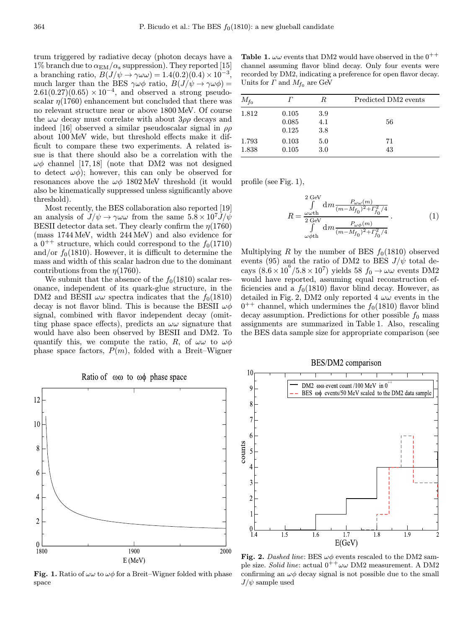trum triggered by radiative decay (photon decays have a 1% branch due to  $\alpha_{\rm EM}/\alpha_{\rm s}$  suppression). They reported [15] a branching ratio,  $B(J/\psi \rightarrow \gamma \omega \omega) = 1.4(0.2)(0.4) \times 10^{-3}$ much larger than the BES  $\gamma \omega \phi$  ratio,  $B(J/\psi \to \gamma \omega \phi)$  =  $2.61(0.27)(0.65) \times 10^{-4}$ , and observed a strong pseudoscalar  $\eta(1760)$  enhancement but concluded that there was no relevant structure near or above 1800 MeV. Of course the  $\omega\omega$  decay must correlate with about  $3\rho\rho$  decays and indeed [16] observed a similar pseudoscalar signal in  $\rho \rho$ about 100 MeV wide, but threshold effects make it difficult to compare these two experiments. A related issue is that there should also be a correlation with the  $\omega\phi$  channel [17, 18] (note that DM2 was not designed to detect  $\omega\phi$ ; however, this can only be observed for resonances above the  $\omega\phi$  1802 MeV threshold (it would also be kinematically suppressed unless significantly above threshold).

Most recently, the BES collaboration also reported [19] an analysis of  $J/\psi \rightarrow \gamma \omega \omega$  from the same  $5.8 \times 10^7 J/\psi$ BESII detector data set. They clearly confirm the  $\eta(1760)$ (mass 1744 MeV, width 244 MeV) and also evidence for a  $0^{++}$  structure, which could correspond to the  $f_0(1710)$ and/or  $f_0(1810)$ . However, it is difficult to determine the mass and width of this scalar hadron due to the dominant contributions from the  $\eta(1760)$ .

We submit that the absence of the  $f_0(1810)$  scalar resonance, independent of its quark-glue structure, in the DM2 and BESII  $\omega\omega$  spectra indicates that the  $f_0(1810)$ decay is not flavor blind. This is because the BESII  $\omega\phi$ signal, combined with flavor independent decay (omitting phase space effects), predicts an  $\omega\omega$  signature that would have also been observed by BESII and DM2. To quantify this, we compute the ratio, R, of  $\omega\omega$  to  $\omega\phi$ phase space factors,  $P(m)$ , folded with a Breit–Wigner

Ratio of  $\omega\omega$  to  $\omega\phi$  phase space 12  $10$ ş 6  $\overline{c}$  $\theta$ 1900 2000 1800  $E(MeV)$ 

**Fig. 1.** Ratio of  $\omega\omega$  to  $\omega\phi$  for a Breit–Wigner folded with phase space

**Table 1.**  $\omega\omega$  events that DM2 would have observed in the  $0^{++}$ channel assuming flavor blind decay. Only four events were recorded by DM2, indicating a preference for open flavor decay. Units for  $\Gamma$  and  $M_{f_0}$  are GeV

| $M_{f{\rm o}}$ |                         | R                 | Predicted DM2 events |
|----------------|-------------------------|-------------------|----------------------|
| 1.812          | 0.105<br>0.085<br>0.125 | 3.9<br>4.1<br>3.8 | 56                   |
| 1.793<br>1.838 | 0.103<br>0.105          | 5.0<br>3.0        | 71<br>43             |

profile (see Fig. 1),

$$
R = \frac{\int_{\omega \omega \text{th}}^2 dm \frac{P_{\omega \omega} (m)}{(m - M_{f0})^2 + \Gamma_{f0}^2 / 4}}{\int_{\omega \phi \text{th}}^2 dm \frac{P_{\omega \phi} (m)}{(m - M_{f0})^2 + \Gamma_{f0}^2 / 4}}.
$$
(1)

Multiplying R by the number of BES  $f_0(1810)$  observed events (95) and the ratio of DM2 to BES  $J/\psi$  total decays  $(8.6 \times 10^6 / 5.8 \times 10^7)$  yields 58  $f_0 \rightarrow \omega \omega$  events DM2 would have reported, assuming equal reconstruction efficiencies and a  $f_0(1810)$  flavor blind decay. However, as detailed in Fig. 2, DM2 only reported  $4 \omega \omega$  events in the  $0^{++}$  channel, which undermines the  $f_0(1810)$  flavor blind decay assumption. Predictions for other possible  $f_0$  mass assignments are summarized in Table 1. Also, rescaling the BES data sample size for appropriate comparison (see





Fig. 2. Dashed line: BES  $\omega\phi$  events rescaled to the DM2 sample size. Solid line: actual  $0^{++}\omega\omega$  DM2 measurement. A DM2 confirming an  $\omega\phi$  decay signal is not possible due to the small  $J/\psi$  sample used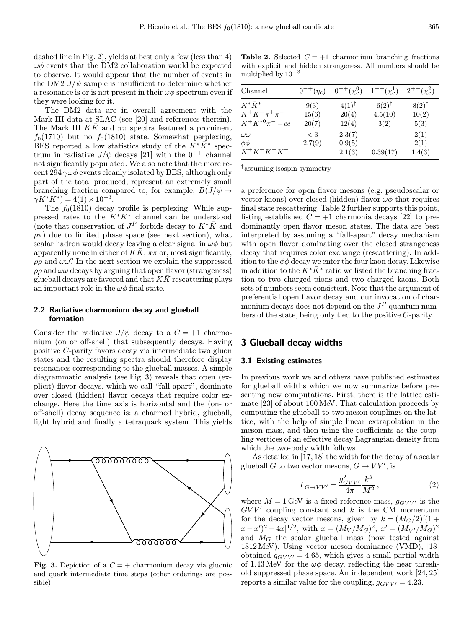dashed line in Fig. 2), yields at best only a few (less than 4)  $\omega\phi$  events that the DM2 collaboration would be expected to observe. It would appear that the number of events in the DM2  $J/\psi$  sample is insufficient to determine whether a resonance is or is not present in their  $\omega\phi$  spectrum even if they were looking for it.

The DM2 data are in overall agreement with the Mark III data at SLAC (see [20] and references therein). The Mark III  $K\bar{K}$  and  $\pi\pi$  spectra featured a prominent  $f_0(1710)$  but no  $f_0(1810)$  state. Somewhat perplexing, BES reported a low statistics study of the  $K^*\bar{K}^*$  spectrum in radiative  $J/\psi$  decays [21] with the 0<sup>++</sup> channel not significantly populated. We also note that the more recent 294  $\gamma\omega\phi$  events cleanly isolated by BES, although only part of the total produced, represent an extremely small branching fraction compared to, for example,  $B(J/\psi \rightarrow$  $\gamma K^* \bar{K}^* = 4(1) \times 10^{-3}$ .

The  $f_0(1810)$  decay profile is perplexing. While suppressed rates to the  $K^*\bar{K}^*$  channel can be understood (note that conservation of  $J^P$  forbids decay to  $K^*\bar{K}$  and  $\rho \pi$ ) due to limited phase space (see next section), what scalar hadron would decay leaving a clear signal in  $\omega\phi$  but apparently none in either of  $K\bar{K}$ ,  $\pi\pi$  or, most significantly,  $\rho \rho$  and  $\omega \omega$ ? In the next section we explain the suppressed  $\rho \rho$  and  $\omega \omega$  decays by arguing that open flavor (strangeness) glueball decays are favored and that  $K\bar{K}$  rescattering plays an important role in the  $\omega\phi$  final state.

#### 2.2 Radiative charmonium decay and glueball formation

Consider the radiative  $J/\psi$  decay to a  $C = +1$  charmonium (on or off-shell) that subsequently decays. Having positive C-parity favors decay via intermediate two gluon states and the resulting spectra should therefore display resonances corresponding to the glueball masses. A simple diagrammatic analysis (see Fig. 3) reveals that open (explicit) flavor decays, which we call "fall apart", dominate over closed (hidden) flavor decays that require color exchange. Here the time axis is horizontal and the (on- or off-shell) decay sequence is: a charmed hybrid, glueball, light hybrid and finally a tetraquark system. This yields

Fig. 3. Depiction of a  $C = +$  charmonium decay via gluonic and quark intermediate time steps (other orderings are possible)

**Table 2.** Selected  $C = +1$  charmonium branching fractions with explicit and hidden strangeness. All numbers should be multiplied by  $10^{-3}$ 

| Channel                                        | $0^{-+}(\eta_c)$ | $0^{++}(\chi_c^0)$         | $1^{++}(\chi_c^1)$          | $2^{++}(\chi_c^2)$        |
|------------------------------------------------|------------------|----------------------------|-----------------------------|---------------------------|
| $K^*\bar{K}^*$<br>$K^+K^-\pi^+\pi^-$           | 9(3)<br>15(6)    | $(4(1)^\dagger$<br>20(4)   | $6(2)^{\dagger}$<br>4.5(10) | $8(2)^{\dagger}$<br>10(2) |
| $K^+ \bar{K}^{*0} \pi^- + cc$                  | 20(7)            | 12(4)                      | 3(2)                        | 5(3)                      |
| $\omega\omega$<br>$\phi\phi$<br>$K^+K^+K^-K^-$ | < 3<br>2.7(9)    | 2.3(7)<br>0.9(5)<br>2.1(3) | 0.39(17)                    | 2(1)<br>2(1)<br>1.4(3)    |

†assuming isospin symmetry

a preference for open flavor mesons (e.g. pseudoscalar or vector kaons) over closed (hidden) flavor  $\omega\phi$  that requires final state rescattering. Table 2 further supports this point, listing established  $C = +1$  charmonia decays [22] to predominantly open flavor meson states. The data are best interpreted by assuming a "fall-apart" decay mechanism with open flavor dominating over the closed strangeness decay that requires color exchange (rescattering). In addition to the  $\phi\phi$  decay we enter the four kaon decay. Likewise in addition to the  $K^*\bar{K}^*$  ratio we listed the branching fraction to two charged pions and two charged kaons. Both sets of numbers seem consistent. Note that the argument of preferential open flavor decay and our invocation of charmonium decays does not depend on the  $J<sup>P</sup>$  quantum numbers of the state, being only tied to the positive C-parity.

# 3 Glueball decay widths

#### 3.1 Existing estimates

In previous work we and others have published estimates for glueball widths which we now summarize before presenting new computations. First, there is the lattice estimate [23] of about 100 MeV. That calculation proceeds by computing the glueball-to-two meson couplings on the lattice, with the help of simple linear extrapolation in the meson mass, and then using the coefficients as the coupling vertices of an effective decay Lagrangian density from which the two-body width follows.

As detailed in [17, 18] the width for the decay of a scalar glueball G to two vector mesons,  $G \to VV'$ , is

$$
\Gamma_{G \to VV'} = \frac{g_{GVV'}^2}{4\pi} \frac{k^3}{M^2} \,,\tag{2}
$$

where  $M = 1$  GeV is a fixed reference mass,  $g_{GVV'}$  is the  $GVV'$  coupling constant and  $k$  is the CM momentum for the decay vector mesons, given by  $k = (M_G/2)[(1 +$  $(x-x')^2 - 4x]^{1/2}$ , with  $x = (M_V/M_G)^2$ ,  $x' = (M_{V'}/M_G)^2$ and  $M<sub>G</sub>$  the scalar glueball mass (now tested against 1812 MeV). Using vector meson dominance (VMD), [18] obtained  $g_{GVV'} = 4.65$ , which gives a small partial width of 1.43 MeV for the  $\omega\phi$  decay, reflecting the near threshold suppressed phase space. An independent work [24, 25] reports a similar value for the coupling,  $q_{GVV'} = 4.23$ .

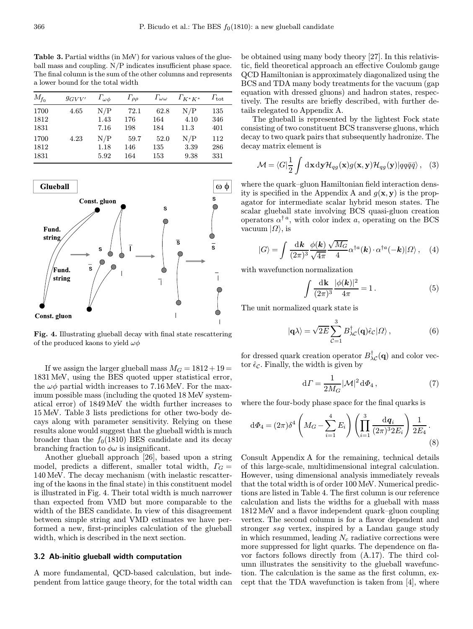Table 3. Partial widths (in MeV) for various values of the glueball mass and coupling. N/P indicates insufficient phase space. The final column is the sum of the other columns and represents a lower bound for the total width

| $M_{f_0}$ | $g_{GVV'}$ | $\Gamma_{\omega\phi}$ | $\Gamma_{\rho\rho}$ | $\Gamma_{\omega\omega}$ | $\Gamma_{K^*K^*}$ | $T_{\rm tot}$ |
|-----------|------------|-----------------------|---------------------|-------------------------|-------------------|---------------|
| 1700      | 4.65       | N/P                   | 72.1                | 62.8                    | N/P               | 135           |
| 1812      |            | 1.43                  | 176                 | 164                     | 4.10              | 346           |
| 1831      |            | 7.16                  | 198                 | 184                     | 11.3              | 401           |
| 1700      | 4.23       | N/P                   | 59.7                | 52.0                    | N/P               | 112           |
| 1812      |            | 1.18                  | 146                 | 135                     | 3.39              | 286           |
| 1831      |            | 5.92                  | 164                 | 153                     | 9.38              | 331           |



Fig. 4. Illustrating glueball decay with final state rescattering of the produced kaons to yield  $\omega\phi$ 

If we assign the larger glueball mass  $M_G = 1812 + 19 =$ 1831 MeV, using the BES quoted upper statistical error, the  $\omega\phi$  partial width increases to 7.16 MeV. For the maximum possible mass (including the quoted 18 MeV systematical error) of 1849 MeV the width further increases to 15 MeV. Table 3 lists predictions for other two-body decays along with parameter sensitivity. Relying on these results alone would suggest that the glueball width is much broader than the  $f_0(1810)$  BES candidate and its decay branching fraction to  $\phi\omega$  is insignificant.

Another glueball approach [26], based upon a string model, predicts a different, smaller total width,  $\Gamma_G =$ 140 MeV. The decay mechanism (with inelastic rescattering of the kaons in the final state) in this constituent model is illustrated in Fig. 4. Their total width is much narrower than expected from VMD but more comparable to the width of the BES candidate. In view of this disagreement between simple string and VMD estimates we have performed a new, first-principles calculation of the glueball width, which is described in the next section.

#### 3.2 Ab-initio glueball width computation

A more fundamental, QCD-based calculation, but independent from lattice gauge theory, for the total width can be obtained using many body theory [27]. In this relativistic, field theoretical approach an effective Coulomb gauge QCD Hamiltonian is approximately diagonalized using the BCS and TDA many body treatments for the vacuum (gap equation with dressed gluons) and hadron states, respectively. The results are briefly described, with further details relegated to Appendix A.

The glueball is represented by the lightest Fock state consisting of two constituent BCS transverse gluons, which decay to two quark pairs that subsequently hadronize. The decay matrix element is

$$
\mathcal{M} = \langle G | \frac{1}{2} \int \mathrm{d} \mathbf{x} \, \mathrm{d} \mathbf{y} \mathcal{H}_{qg}(\mathbf{x}) g(\mathbf{x}, \mathbf{y}) \mathcal{H}_{qg}(\mathbf{y}) | q q \bar{q} \bar{q} \rangle \,, \quad (3)
$$

where the quark–gluon Hamiltonian field interaction density is specified in the Appendix A and  $g(x, y)$  is the propagator for intermediate scalar hybrid meson states. The scalar glueball state involving BCS quasi-gluon creation operators  $\alpha^{\dagger}$ <sup>*a*</sup>, with color index *a*, operating on the BCS vacuum  $|\Omega\rangle$ , is

$$
|G\rangle = \int \frac{\mathrm{d}\mathbf{k}}{(2\pi)^3} \frac{\phi(\mathbf{k})}{\sqrt{4\pi}} \frac{\sqrt{M_G}}{4} \alpha^{\dagger a}(\mathbf{k}) \cdot \alpha^{\dagger a}(-\mathbf{k}) | \Omega \rangle \,, \quad (4)
$$

with wavefunction normalization

$$
\int \frac{d\mathbf{k}}{(2\pi)^3} \frac{|\phi(\mathbf{k})|^2}{4\pi} = 1.
$$
 (5)

The unit normalized quark state is

$$
|\mathbf{q}\lambda\rangle = \sqrt{2E} \sum_{\mathcal{C}=1}^{3} B_{\lambda\mathcal{C}}^{\dagger}(\mathbf{q}) \hat{\epsilon}_{\mathcal{C}} | \Omega \rangle , \qquad (6)
$$

for dressed quark creation operator  $B^{\dagger}_{\lambda\mathcal{C}}(\mathbf{q})$  and color vector  $\hat{\epsilon}_{\mathcal{C}}$ . Finally, the width is given by

$$
d\Gamma = \frac{1}{2M_G} |\mathcal{M}|^2 d\Phi_4 , \qquad (7)
$$

where the four-body phase space for the final quarks is

$$
d\Phi_4 = (2\pi)\delta^4 \left(M_G - \sum_{i=1}^4 E_i\right) \left(\prod_{i=1}^3 \frac{dq_i}{(2\pi)^3 2E_i}\right) \frac{1}{2E_4}.
$$
\n(8)

Consult Appendix A for the remaining, technical details of this large-scale, multidimensional integral calculation. However, using dimensional analysis immediately reveals that the total width is of order 100 MeV. Numerical predictions are listed in Table 4. The first column is our reference calculation and lists the widths for a glueball with mass 1812 MeV and a flavor independent quark–gluon coupling vertex. The second column is for a flavor dependent and stronger ssg vertex, inspired by a Landau gauge study in which resummed, leading  $N_c$  radiative corrections were more suppressed for light quarks. The dependence on flavor factors follows directly from (A.17). The third column illustrates the sensitivity to the glueball wavefunction. The calculation is the same as the first column, except that the TDA wavefunction is taken from [4], where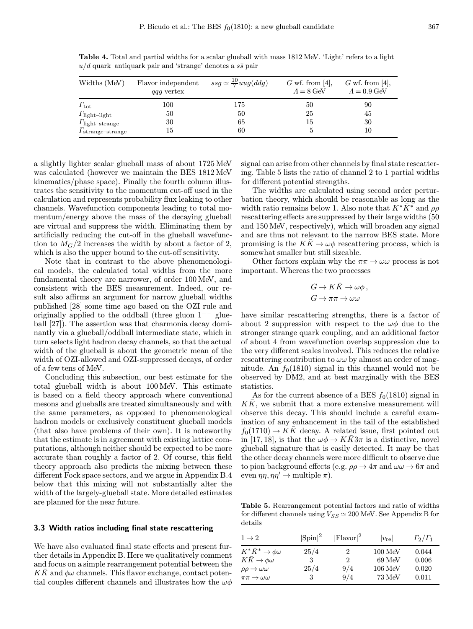| Widths (MeV)                    | Flavor independent<br><i>agg</i> vertex | $ssg \simeq \frac{10}{7} uug(ddg)$ | $G$ wf. from [4],<br>$\Lambda = 8$ GeV | $G$ wf. from [4],<br>$\Lambda = 0.9 \,\text{GeV}$ |
|---------------------------------|-----------------------------------------|------------------------------------|----------------------------------------|---------------------------------------------------|
| $\Gamma_{\rm tot}$              | 100                                     | 175                                | 50                                     | 90                                                |
| $\Gamma_{\text{light-light}}$   | 50                                      | 50                                 | 25                                     | 45                                                |
| $\Gamma_{\text{light-strange}}$ | 30                                      | 65                                 | 15                                     | 30                                                |
| $\Gamma_{\rm strange-strange}$  | 15                                      | 60                                 |                                        | 10                                                |

Table 4. Total and partial widths for a scalar glueball with mass 1812 MeV. 'Light' refers to a light  $u/d$  quark–antiquark pair and 'strange' denotes a  $s\bar{s}$  pair

a slightly lighter scalar glueball mass of about 1725 MeV was calculated (however we maintain the BES 1812 MeV kinematics/phase space). Finally the fourth column illustrates the sensitivity to the momentum cut-off used in the calculation and represents probability flux leaking to other channels. Wavefunction components leading to total momentum/energy above the mass of the decaying glueball are virtual and suppress the width. Eliminating them by artificially reducing the cut-off in the glueball wavefunction to  $M<sub>G</sub>/2$  increases the width by about a factor of 2, which is also the upper bound to the cut-off sensitivity.

Note that in contrast to the above phenomenological models, the calculated total widths from the more fundamental theory are narrower, of order 100 MeV, and consistent with the BES measurement. Indeed, our result also affirms an argument for narrow glueball widths published [28] some time ago based on the OZI rule and originally applied to the oddball (three gluon 1−− glueball [27]). The assertion was that charmonia decay dominantly via a glueball/oddball intermediate state, which in turn selects light hadron decay channels, so that the actual width of the glueball is about the geometric mean of the width of OZI-allowed and OZI-suppressed decays, of order of a few tens of MeV.

Concluding this subsection, our best estimate for the total glueball width is about 100 MeV. This estimate is based on a field theory approach where conventional mesons and glueballs are treated simultaneously and with the same parameters, as opposed to phenomenological hadron models or exclusively constituent glueball models (that also have problems of their own). It is noteworthy that the estimate is in agreement with existing lattice computations, although neither should be expected to be more accurate than roughly a factor of 2. Of course, this field theory approach also predicts the mixing between these different Fock space sectors, and we argue in Appendix B.4 below that this mixing will not substantially alter the width of the largely-glueball state. More detailed estimates are planned for the near future.

# 3.3 Width ratios including final state rescattering

We have also evaluated final state effects and present further details in Appendix B. Here we qualitatively comment and focus on a simple rearrangement potential between the  $KK$  and  $\phi\omega$  channels. This flavor exchange, contact potential couples different channels and illustrates how the  $\omega\phi$ 

signal can arise from other channels by final state rescattering. Table 5 lists the ratio of channel 2 to 1 partial widths for different potential strengths.

The widths are calculated using second order perturbation theory, which should be reasonable as long as the width ratio remains below 1. Also note that  $K^*\bar{K}^*$  and  $\rho\rho$ rescattering effects are suppressed by their large widths (50 and 150 MeV, respectively), which will broaden any signal and are thus not relevant to the narrow BES state. More promising is the  $K\bar{K} \to \omega \phi$  rescattering process, which is somewhat smaller but still sizeable.

Other factors explain why the  $\pi\pi \to \omega\omega$  process is not important. Whereas the two processes

$$
G \to K\bar{K} \to \omega\phi ,
$$
  

$$
G \to \pi\pi \to \omega\omega
$$

have similar rescattering strengths, there is a factor of about 2 suppression with respect to the  $\omega\phi$  due to the stronger strange quark coupling, and an additional factor of about 4 from wavefunction overlap suppression due to the very different scales involved. This reduces the relative rescattering contribution to  $\omega\omega$  by almost an order of magnitude. An  $f_0(1810)$  signal in this channel would not be observed by DM2, and at best marginally with the BES statistics.

As for the current absence of a BES  $f_0(1810)$  signal in  $KK$ , we submit that a more extensive measurement will observe this decay. This should include a careful examination of any enhancement in the tail of the established  $f_0(1710) \rightarrow KK$  decay. A related issue, first pointed out in [17, 18], is that the  $\omega \phi \rightarrow K K 3 \pi$  is a distinctive, novel glueball signature that is easily detected. It may be that the other decay channels were more difficult to observe due to pion background effects (e.g.  $\rho \rho \rightarrow 4\pi$  and  $\omega \omega \rightarrow 6\pi$  and even  $\eta\eta, \eta\eta' \to \text{multiple } \pi$ .

Table 5. Rearrangement potential factors and ratio of widths for different channels using  $V_{SS} \simeq 200$  MeV. See Appendix B for details

| $1 \rightarrow 2$                     | $ {\rm Spin} ^2$ | $ Flavor ^2$ | $ v_{\rm re} $      | $\Gamma_2/\Gamma_1$ |
|---------------------------------------|------------------|--------------|---------------------|---------------------|
| $K^*\bar K^*\to\phi\omega$            | 25/4             | 2            | $100 \text{ MeV}$   | 0.044               |
| $K\bar{K} \to \phi\omega$             | 3                | 2            | 69 MeV              | 0.006               |
| $\rho \rho \rightarrow \omega \omega$ | 25/4             | 9/4          | $106\,\mathrm{MeV}$ | 0.020               |
| $\pi\pi \rightarrow \omega\omega$     | 3                | 9/4          | $73\,\mathrm{MeV}$  | 0.011               |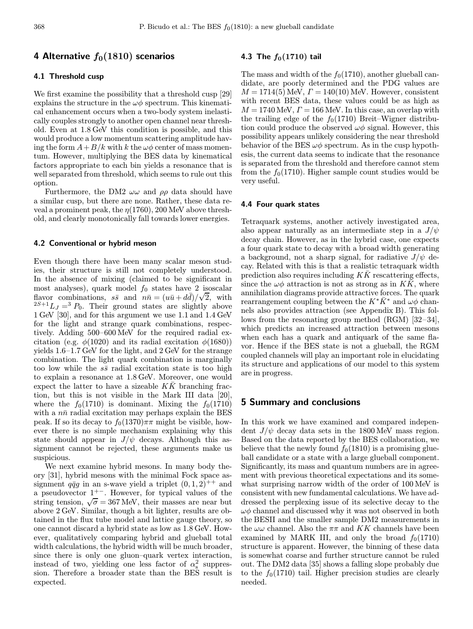# 4 Alternative  $f_0(1810)$  scenarios

## 4.1 Threshold cusp

We first examine the possibility that a threshold cusp [29] explains the structure in the  $\omega\phi$  spectrum. This kinematical enhancement occurs when a two-body system inelastically couples strongly to another open channel near threshold. Even at 1.8 GeV this condition is possible, and this would produce a low momentum scattering amplitude having the form  $A+B/k$  with k the  $\omega\phi$  center of mass momentum. However, multiplying the BES data by kinematical factors appropriate to each bin yields a resonance that is well separated from threshold, which seems to rule out this option.

Furthermore, the DM2  $\omega\omega$  and  $\rho\rho$  data should have a similar cusp, but there are none. Rather, these data reveal a prominent peak, the  $\eta(1760)$ , 200 MeV above threshold, and clearly monotonically fall towards lower energies.

## 4.2 Conventional or hybrid meson

Even though there have been many scalar meson studies, their structure is still not completely understood. In the absence of mixing (claimed to be significant in most analyses), quark model  $f_0$  states have 2 isoscalar flavor combinations,  $s\bar{s}$  and  $n\bar{n} = (u\bar{u} + d\bar{d})/\sqrt{2}$ , with  $2S+1$ <sub>LJ</sub> = 3 P<sub>0</sub>. Their ground states are slightly above 1 GeV [30], and for this argument we use 1.1 and 1.4 GeV for the light and strange quark combinations, respectively. Adding 500–600 MeV for the required radial excitation (e.g.  $\phi(1020)$  and its radial excitation  $\phi(1680)$ ) yields 1.6–1.7 GeV for the light, and 2 GeV for the strange combination. The light quark combination is marginally too low while the  $s\bar{s}$  radial excitation state is too high to explain a resonance at 1.8 GeV. Moreover, one would expect the latter to have a sizeable  $K\bar{K}$  branching fraction, but this is not visible in the Mark III data [20], where the  $f_0(1710)$  is dominant. Mixing the  $f_0(1710)$ with a  $n\bar{n}$  radial excitation may perhaps explain the BES peak. If so its decay to  $f_0(1370)\pi\pi$  might be visible, however there is no simple mechanism explaining why this state should appear in  $J/\psi$  decays. Although this assignment cannot be rejected, these arguments make us suspicious.

We next examine hybrid mesons. In many body theory [31], hybrid mesons with the minimal Fock space assignment  $q\bar{q}q$  in an s-wave yield a triplet  $(0, 1, 2)^{++}$  and a pseudovector 1<sup>+</sup><sup>−</sup>. However, for typical values of the string tension,  $\sqrt{\sigma} = 367 \text{ MeV}$ , their masses are near but above 2 GeV. Similar, though a bit lighter, results are obtained in the flux tube model and lattice gauge theory, so one cannot discard a hybrid state as low as 1.8 GeV. However, qualitatively comparing hybrid and glueball total width calculations, the hybrid width will be much broader, since there is only one gluon–quark vertex interaction, instead of two, yielding one less factor of  $\alpha_s^2$  suppression. Therefore a broader state than the BES result is expected.

## 4.3 The  $f_0(1710)$  tail

The mass and width of the  $f_0(1710)$ , another glueball candidate, are poorly determined and the PDG values are  $M = 1714(5)$  MeV,  $\Gamma = 140(10)$  MeV. However, consistent with recent BES data, these values could be as high as  $M = 1740$  MeV,  $\Gamma = 166$  MeV. In this case, an overlap with the trailing edge of the  $f_0(1710)$  Breit–Wigner distribution could produce the observed  $\omega\phi$  signal. However, this possibility appears unlikely considering the near threshold behavior of the BES  $\omega\phi$  spectrum. As in the cusp hypothesis, the current data seems to indicate that the resonance is separated from the threshold and therefore cannot stem from the  $f_0(1710)$ . Higher sample count studies would be very useful.

#### 4.4 Four quark states

Tetraquark systems, another actively investigated area, also appear naturally as an intermediate step in a  $J/\psi$ decay chain. However, as in the hybrid case, one expects a four quark state to decay with a broad width generating a background, not a sharp signal, for radiative  $J/\psi$  decay. Related with this is that a realistic tetraquark width prediction also requires including  $K\bar{K}$  rescattering effects, since the  $\omega\phi$  attraction is not as strong as in KK, where annihilation diagrams provide attractive forces. The quark rearrangement coupling between the  $K^*\bar{K}^*$  and  $\omega\phi$  channels also provides attraction (see Appendix B). This follows from the resonating group method (RGM) [32–34], which predicts an increased attraction between mesons when each has a quark and antiquark of the same flavor. Hence if the BES state is not a glueball, the RGM coupled channels will play an important role in elucidating its structure and applications of our model to this system are in progress.

# 5 Summary and conclusions

In this work we have examined and compared independent  $J/\psi$  decay data sets in the 1800 MeV mass region. Based on the data reported by the BES collaboration, we believe that the newly found  $f_0(1810)$  is a promising glueball candidate or a state with a large glueball component. Significantly, its mass and quantum numbers are in agreement with previous theoretical expectations and its somewhat surprising narrow width of the order of 100 MeV is consistent with new fundamental calculations. We have addressed the perplexing issue of its selective decay to the  $\omega\phi$  channel and discussed why it was not observed in both the BESII and the smaller sample DM2 measurements in the  $\omega\omega$  channel. Also the  $\pi\pi$  and KK channels have been examined by MARK III, and only the broad  $f_0(1710)$ structure is apparent. However, the binning of these data is somewhat coarse and further structure cannot be ruled out. The DM2 data [35] shows a falling slope probably due to the  $f_0(1710)$  tail. Higher precision studies are clearly needed.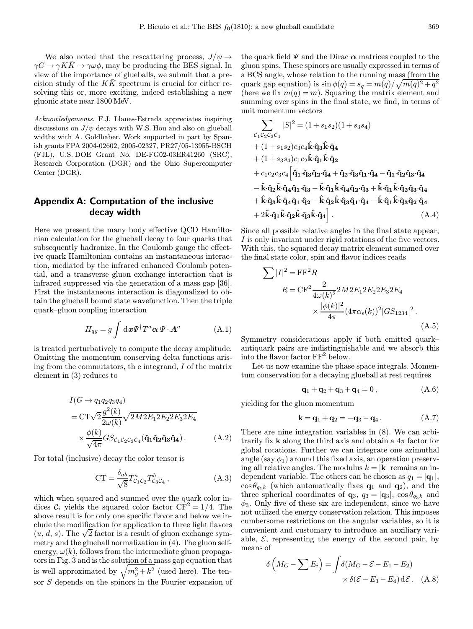We also noted that the rescattering process,  $J/\psi \rightarrow$  $\gamma G \to \gamma K \bar{K} \to \gamma \omega \phi$ , may be producing the BES signal. In view of the importance of glueballs, we submit that a precision study of the  $KK$  spectrum is crucial for either resolving this or, more exciting, indeed establishing a new gluonic state near 1800 MeV.

Acknowledgements. F.J. Llanes-Estrada appreciates inspiring discussions on  $J/\psi$  decays with W.S. Hou and also on glueball widths with A. Goldhaber. Work supported in part by Spanish grants FPA 2004-02602, 2005-02327, PR27/05-13955-BSCH (FJL), U.S. DOE Grant No. DE-FG02-03ER41260 (SRC), Research Corporation (DGR) and the Ohio Supercomputer Center (DGR).

# Appendix A: Computation of the inclusive decay width

Here we present the many body effective QCD Hamiltonian calculation for the glueball decay to four quarks that subsequently hadronize. In the Coulomb gauge the effective quark Hamiltonian contains an instantaneous interaction, mediated by the infrared enhanced Coulomb potential, and a transverse gluon exchange interaction that is infrared suppressed via the generation of a mass gap [36]. First the instantaneous interaction is diagonalized to obtain the glueball bound state wavefunction. Then the triple quark–gluon coupling interaction

$$
H_{qg} = g \int \mathrm{d}\boldsymbol{x} \Psi^{\dagger} T^a \boldsymbol{\alpha} \, \Psi \cdot \boldsymbol{A}^a \tag{A.1}
$$

is treated perturbatively to compute the decay amplitude. Omitting the momentum conserving delta functions arising from the commutators, th e integrand, I of the matrix element in (3) reduces to

$$
I(G \to q_1 q_2 q_3 q_4)
$$
  
=  $\text{CT}\sqrt{2}\frac{g^2(k)}{2\omega(k)}\sqrt{2M2E_1 2E_2 2E_3 2E_4}$   

$$
\times \frac{\phi(k)}{\sqrt{4\pi}}GS_{\mathcal{C}_1\mathcal{C}_2\mathcal{C}_3\mathcal{C}_4}(\hat{\mathbf{q}}_1 \hat{\mathbf{q}}_2 \hat{\mathbf{q}}_3 \hat{\mathbf{q}}_4).
$$
 (A.2)

For total (inclusive) decay the color tensor is

$$
CT = \frac{\delta_{ab}}{\sqrt{8}} T^a_{\mathcal{C}_1 \mathcal{C}_2} T^b_{\mathcal{C}_3 \mathcal{C}_4} , \qquad (A.3)
$$

which when squared and summed over the quark color indices  $\mathcal{C}_i$  yields the squared color factor  $\overline{\text{CF}}^2 = 1/4$ . The above result is for only one specific flavor and below we include the modification for application to three light flavors ciude the modification for application to three light flavors  $(u, d, s)$ . The  $\sqrt{2}$  factor is a result of gluon exchange symmetry and the glueball normalization in (4). The gluon selfenergy,  $\omega(k)$ , follows from the intermediate gluon propagators in Fig. 3 and is the solution of a mass gap equation that is well approximated by  $\sqrt{m_g^2 + k^2}$  (used here). The tensor S depends on the spinors in the Fourier expansion of

the quark field  $\Psi$  and the Dirac  $\alpha$  matrices coupled to the gluon spins. These spinors are usually expressed in terms of a BCS angle, whose relation to the running mass (from the quark gap equation) is  $\sin \phi(q) = s_q = m(q)/\sqrt{m(q)^2 + q^2}$ (here we fix  $m(q) = m$ ). Squaring the matrix element and summing over spins in the final state, we find, in terms of unit momentum vectors

$$
\sum_{\mathcal{C}_1\mathcal{C}_2\mathcal{C}_3\mathcal{C}_4} |S|^2 = (1 + s_1 s_2)(1 + s_3 s_4)
$$
  
+  $(1 + s_1 s_2) c_3 c_4 \hat{k} \cdot \hat{q}_3 \hat{k} \cdot \hat{q}_4$   
+  $(1 + s_3 s_4) c_1 c_2 \hat{k} \cdot \hat{q}_1 \hat{k} \cdot \hat{q}_2$   
+  $c_1 c_2 c_3 c_4 \left[ \hat{q}_1 \cdot \hat{q}_3 \hat{q}_2 \cdot \hat{q}_4 + \hat{q}_2 \cdot \hat{q}_3 \hat{q}_1 \cdot \hat{q}_4 - \hat{q}_1 \cdot \hat{q}_2 \hat{q}_3 \cdot \hat{q}_4 - \hat{k} \cdot \hat{q}_2 \hat{k} \cdot \hat{q}_4 \hat{q}_1 \cdot \hat{q}_3 - \hat{k} \cdot \hat{q}_1 \hat{k} \cdot \hat{q}_4 \hat{q}_2 \cdot \hat{q}_3 + \hat{k} \cdot \hat{q}_1 \hat{k} \cdot \hat{q}_2 \hat{q}_3 \cdot \hat{q}_4$   
+  $\hat{k} \cdot \hat{q}_3 \hat{k} \cdot \hat{q}_4 \hat{q}_1 \cdot \hat{q}_2 - \hat{k} \cdot \hat{q}_2 \hat{k} \cdot \hat{q}_3 \hat{q}_1 \cdot \hat{q}_4 - \hat{k} \cdot \hat{q}_1 \hat{k} \cdot \hat{q}_3 \hat{q}_2 \cdot \hat{q}_4$   
+  $2 \hat{k} \cdot \hat{q}_1 \hat{k} \cdot \hat{q}_2 \hat{k} \cdot \hat{q}_3 \hat{k} \cdot \hat{q}_4 \bigg|.$  (A.4)

Since all possible relative angles in the final state appear, I is only invariant under rigid rotations of the five vectors. With this, the squared decay matrix element summed over the final state color, spin and flavor indices reads

$$
\sum |I|^2 = \mathbf{F} \mathbf{F}^2 R
$$
  
\n
$$
R = \mathbf{C} \mathbf{F}^2 \frac{2}{4\omega(k)^2} 2M 2E_1 2E_2 2E_3 2E_4
$$
  
\n
$$
\times \frac{|\phi(k)|^2}{4\pi} (4\pi\alpha_s(k))^2 |GS_{1234}|^2.
$$
\n(A.5)

Symmetry considerations apply if both emitted quark– antiquark pairs are indistinguishable and we absorb this into the flavor factor  $FF^2$  below.

Let us now examine the phase space integrals. Momentum conservation for a decaying glueball at rest requires

$$
\mathbf{q}_1 + \mathbf{q}_2 + \mathbf{q}_3 + \mathbf{q}_4 = 0, \tag{A.6}
$$

yielding for the gluon momentum

$$
k = q_1 + q_2 = -q_3 - q_4. \tag{A.7}
$$

There are nine integration variables in (8). We can arbitrarily fix **k** along the third axis and obtain a  $4\pi$  factor for global rotations. Further we can integrate one azimuthal angle (say  $\phi_1$ ) around this fixed axis, an operation preserving all relative angles. The modulus  $k = |\mathbf{k}|$  remains an independent variable. The others can be chosen as  $q_1 = |{\bf q}_1|$ ,  $\cos \theta_{q_1k}$  (which automatically fixes  $\mathbf{q}_1$  and  $\mathbf{q}_2$ ), and the three spherical coordinates of  $\mathbf{q}_3$ ,  $q_3 = |\mathbf{q}_3|$ ,  $\cos \theta_{q_3k}$  and  $\phi_3$ . Only five of these six are independent, since we have not utilized the energy conservation relation. This imposes cumbersome restrictions on the angular variables, so it is convenient and customary to introduce an auxiliary variable,  $\mathcal{E}$ , representing the energy of the second pair, by means of

$$
\delta\left(M_G - \sum E_i\right) = \int \delta(M_G - \mathcal{E} - E_1 - E_2) \times \delta(\mathcal{E} - E_3 - E_4) \, d\mathcal{E}.
$$
 (A.8)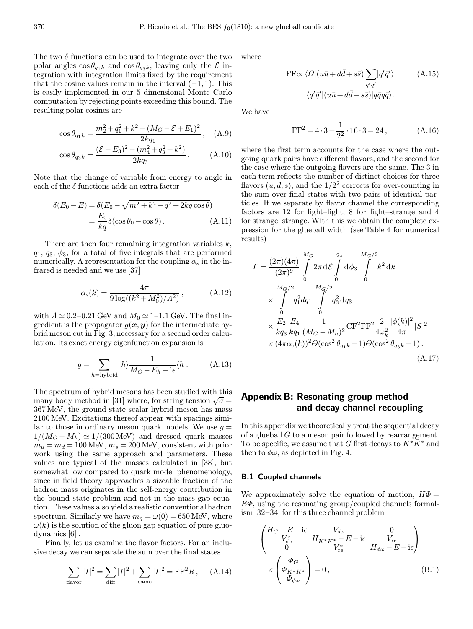The two  $\delta$  functions can be used to integrate over the two polar angles  $\cos \theta_{q_1k}$  and  $\cos \theta_{q_3k}$ , leaving only the  $\mathcal E$  integration with integration limits fixed by the requirement that the cosine values remain in the interval  $(-1, 1)$ . This is easily implemented in our 5 dimensional Monte Carlo computation by rejecting points exceeding this bound. The resulting polar cosines are

$$
\cos \theta_{q_1 k} = \frac{m_2^2 + q_1^2 + k^2 - (M_G - \mathcal{E} + E_1)^2}{2kq_1}, \quad (A.9)
$$

$$
\cos \theta_{q_3k} = \frac{(\mathcal{E} - E_3)^2 - (m_4^2 + q_3^2 + k^2)}{2kq_3}.
$$
 (A.10)

Note that the change of variable from energy to angle in each of the  $\delta$  functions adds an extra factor

$$
\delta(E_0 - E) = \delta(E_0 - \sqrt{m^2 + k^2 + q^2 + 2kq\cos\theta})
$$
  
=  $\frac{E_0}{kq} \delta(\cos\theta_0 - \cos\theta).$  (A.11)

There are then four remaining integration variables  $k$ ,  $q_1, q_3, \phi_3$ , for a total of five integrals that are performed numerically. A representation for the coupling  $\alpha_s$  in the infrared is needed and we use [37]

$$
\alpha_{\rm s}(k) = \frac{4\pi}{9\log((k^2 + M_0^2)/\Lambda^2)},\tag{A.12}
$$

with  $\Lambda \simeq 0.2$ –0.21 GeV and  $M_0 \simeq 1$ –1.1 GeV. The final ingredient is the propagator  $g(x, y)$  for the intermediate hybrid meson cut in Fig. 3, necessary for a second order calculation. Its exact energy eigenfunction expansion is

$$
g = \sum_{h=\text{hybrid}} |h\rangle \frac{1}{M_G - E_h - i\epsilon} \langle h|.
$$
 (A.13)

The spectrum of hybrid mesons has been studied with this many body method in [31] where, for string tension  $\sqrt{\sigma}$  = 367 MeV, the ground state scalar hybrid meson has mass 2100 MeV. Excitations thereof appear with spacings similar to those in ordinary meson quark models. We use  $g =$  $1/(M_G - M_h) \simeq 1/(300 \,\text{MeV})$  and dressed quark masses  $m_u = m_d = 100$  MeV,  $m_s = 200$  MeV, consistent with prior work using the same approach and parameters. These values are typical of the masses calculated in [38], but somewhat low compared to quark model phenomenology, since in field theory approaches a sizeable fraction of the hadron mass originates in the self-energy contribution in the bound state problem and not in the mass gap equation. These values also yield a realistic conventional hadron spectrum. Similarly we have  $m_q = \omega(0) = 650$  MeV, where  $\omega(k)$  is the solution of the gluon gap equation of pure gluodynamics [6] .

Finally, let us examine the flavor factors. For an inclusive decay we can separate the sum over the final states

$$
\sum_{\text{flavor}} |I|^2 = \sum_{\text{diff}} |I|^2 + \sum_{\text{same}} |I|^2 = \text{FF}^2 R, \quad (A.14)
$$

where

$$
FF \propto \langle \Omega | (u\bar{u} + d\bar{d} + s\bar{s}) \sum_{q'\bar{q}'} |q'\bar{q}'\rangle \qquad (A.15)
$$

$$
\langle q'\bar{q}' | (u\bar{u} + d\bar{d} + s\bar{s}) | q\bar{q}q\bar{q}\rangle.
$$

We have

$$
FF2 = 4 \cdot 3 + \frac{1}{2^2} \cdot 16 \cdot 3 = 24 , \qquad (A.16)
$$

where the first term accounts for the case where the outgoing quark pairs have different flavors, and the second for the case where the outgoing flavors are the same. The 3 in each term reflects the number of distinct choices for three flavors  $(u, d, s)$ , and the  $1/2<sup>2</sup>$  corrects for over-counting in the sum over final states with two pairs of identical particles. If we separate by flavor channel the corresponding factors are 12 for light–light, 8 for light–strange and 4 for strange–strange. With this we obtain the complete expression for the glueball width (see Table 4 for numerical results)

$$
I = \frac{(2\pi)(4\pi)}{(2\pi)^9} \int_{0}^{M_G} 2\pi \, d\mathcal{E} \int_{0}^{2\pi} d\phi_3 \int_{0}^{M_G/2} k^2 \, d k
$$
  
\$\times \int\_{0}^{M\_G/2} q\_1^2 dq\_1 \int\_{0}^{M\_G/2} q\_3^2 dq\_3\$  
\$\times \frac{E\_2}{k q\_3} \frac{E\_4}{k q\_1} \frac{1}{(M\_G - M\_h)^2} \text{CF}^2 \text{FF}^2 \frac{2}{4\omega\_k^2} \frac{|\phi(k)|^2}{4\pi} |S|^2\$  
\$\times (4\pi \alpha\_s(k))^2 \Theta(\cos^2 \theta\_{q\_1k} - 1) \Theta(\cos^2 \theta\_{q\_3k} - 1)\$. (A.17)

# Appendix B: Resonating group method and decay channel recoupling

In this appendix we theoretically treat the sequential decay of a glueball G to a meson pair followed by rearrangement. To be specific, we assume that G first decays to  $K^*K^*$  and then to  $\phi \omega$ , as depicted in Fig. 4.

#### B.1 Coupled channels

We approximately solve the equation of motion,  $H\Phi =$  $E\Phi$ , using the resonating group/coupled channels formalism [32–34] for this three channel problem

$$
\begin{pmatrix}\nH_G - E - i\epsilon & V_{sb} & 0 \\
V_{sb}^* & H_{K^* \bar{K}^*} - E - i\epsilon & V_{re} \\
0 & V_{re}^* & H_{\phi\omega} - E - i\epsilon\n\end{pmatrix}
$$
\n
$$
\times \begin{pmatrix}\n\Phi_G \\
\Phi_{K^* \bar{K}^*} \\
\Phi_{\phi\omega}\n\end{pmatrix} = 0,
$$
\n(B.1)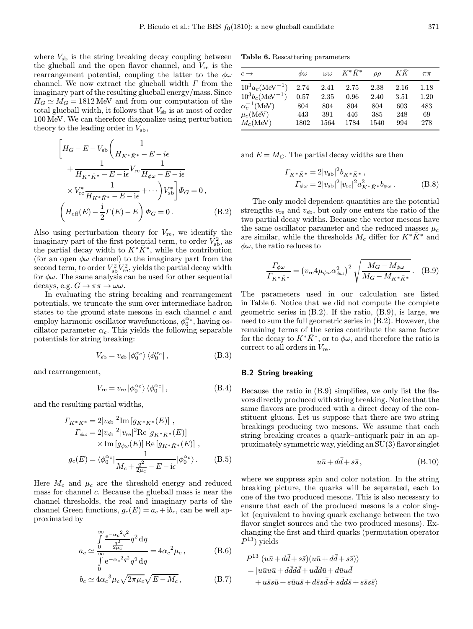where  $V_{sb}$  is the string breaking decay coupling between the glueball and the open flavor channel, and  $V_{\text{re}}$  is the rearrangement potential, coupling the latter to the  $\phi\omega$ channel. We now extract the glueball width  $\Gamma$  from the imaginary part of the resulting glueball energy/mass. Since  $H_G \simeq M_G = 1812$  MeV and from our computation of the total glueball width, it follows that  $V_{\rm sh}$  is at most of order 100 MeV. We can therefore diagonalize using perturbation theory to the leading order in  $V_{sb}$ ,

$$
\left[H_G - E - V_{sb}\left(\frac{1}{H_{K^* \bar{K}^*} - E - i\epsilon}\right) + \frac{1}{H_{K^* \bar{K}^*} - E - i\epsilon}V_{re}\frac{1}{H_{\phi\omega} - E - i\epsilon}\right) \times V_{re}^* \frac{1}{H_{K^* \bar{K}^*} - E - i\epsilon} + \cdots \left)V_{sb}^*\right]\Phi_G = 0,
$$
\n
$$
\left(H_{\text{eff}}(E) - \frac{i}{2}\Gamma(E) - E\right)\Phi_G = 0. \tag{B.2}
$$

Also using perturbation theory for  $V_{\text{re}}$ , we identify the imaginary part of the first potential term, to order  $V_{\rm sb}^2$ , as the partial decay width to  $K^*\bar{K}^*$ , while the contribution (for an open  $\phi\omega$  channel) to the imaginary part from the second term, to order  $V_{\rm sb}^2 V_{\rm re}^2$ , yields the partial decay width for  $\phi\omega$ . The same analysis can be used for other sequential decays, e.g.  $G \to \pi\pi \to \omega\omega$ .

In evaluating the string breaking and rearrangement potentials, we truncate the sum over intermediate hadron states to the ground state mesons in each channel  $c$  and employ harmonic oscillator wavefunctions,  $\phi_0^{\alpha_c}$ , having oscillator parameter  $\alpha_c$ . This yields the following separable potentials for string breaking:

$$
V_{\rm sb} = v_{\rm sb} | \phi_0^{\alpha_c} \rangle \langle \phi_0^{\alpha_c} | , \qquad (B.3)
$$

and rearrangement,

$$
V_{\rm re} = v_{\rm re} \left| \phi_0^{\alpha_c} \right\rangle \left\langle \phi_0^{\alpha_c} \right|, \tag{B.4}
$$

and the resulting partial widths,

$$
\Gamma_{K^* \bar{K}^*} = 2|v_{\rm sb}|^2 {\rm Im} [g_{K^* \bar{K}^*}(E)], \Gamma_{\phi \omega} = 2|v_{\rm sb}|^2 |v_{\rm re}|^2 {\rm Re} [g_{K^* \bar{K}^*}(E)] \times {\rm Im} [g_{\phi \omega}(E)] {\rm Re} [g_{K^* \bar{K}^*}(E)], \ng_c(E) = \langle \phi_0^{\alpha_c} | \frac{1}{M_c + \frac{q^2}{2\mu_c} - E - i\epsilon} | \phi_0^{\alpha_c} \rangle.
$$
\n(B.5)

Here  $M_c$  and  $\mu_c$  are the threshold energy and reduced mass for channel c. Because the glueball mass is near the channel thresholds, the real and imaginary parts of the channel Green functions,  $g_c(E) = a_c + ib_c$ , can be well approximated by

$$
a_c \simeq \frac{\int\limits_0^\infty \frac{e^{-\alpha_c^2 q^2}}{q^2} q^2 dq}{\int\limits_0^\infty e^{-\alpha_c^2 q^2} q^2 dq} = 4\alpha_c^2 \mu_c, \qquad (B.6)
$$

$$
b_c \simeq 4\alpha_c{}^3 \mu_c \sqrt{2\pi\mu_c} \sqrt{E - M_c}, \qquad (B.7)
$$

Table 6. Rescattering parameters

| $c \rightarrow$       | $\phi\omega$ | $\omega\omega$ | $K^*\bar{K}^*$ | $\rho\rho$ | ΚK   | $\pi\pi$ |
|-----------------------|--------------|----------------|----------------|------------|------|----------|
| $10^3 a_c (MeV^{-1})$ | 2.74         | 2.41           | 2.75           | 2.38       | 2.16 | 1.18     |
| $10^3b_c(MeV^{-1})$   | 0.57         | 2.35           | 0.96           | 2.40       | 3.51 | 1.20     |
| $\alpha_c^{-1}$ (MeV) | 804          | 804            | 804            | 804        | 603  | 483      |
| $\mu_c(MeV)$          | 443          | 391            | 446            | 385        | 248  | 69       |
| $M_c(MeV)$            | 1802         | 1564           | 1784           | 1540       | 994  | 278      |

and  $E = M_G$ . The partial decay widths are then

$$
\begin{split} \varGamma_{K^*\bar{K}^*} & = 2 |v_{\rm sb}|^2 b_{K^*\bar{K}^*} \,, \\ \varGamma_{\phi\omega} & = 2 |v_{\rm sb}|^2 |v_{\rm re}|^2 a_{K^*\bar{K}^*}^2 b_{\phi\omega} \,. \end{split} \eqno{\rm (B.8)}
$$

The only model dependent quantities are the potential strengths  $v_{\rm re}$  and  $v_{\rm sb}$ , but only one enters the ratio of the two partial decay widths. Because the vector mesons have the same oscillator parameter and the reduced masses  $\mu_c$ are similar, while the thresholds  $M_c$  differ for  $K^*K^*$  and  $\phi\omega$ , the ratio reduces to

$$
\frac{\Gamma_{\phi\omega}}{\Gamma_{K^*K^*}} = \left(v_{\rm re} 4\mu_{\phi\omega}\alpha_{\phi\omega}^2\right)^2 \sqrt{\frac{M_G - M_{\phi\omega}}{M_G - M_{K^*K^*}}}\,. \tag{B.9}
$$

The parameters used in our calculation are listed in Table 6. Notice that we did not compute the complete geometric series in (B.2). If the ratio, (B.9), is large, we need to sum the full geometric series in (B.2). However, the remaining terms of the series contribute the same factor for the decay to  $K^*\bar{K}^*$ , or to  $\phi\omega$ , and therefore the ratio is correct to all orders in  $V_{\text{re}}$ .

## B.2 String breaking

Because the ratio in (B.9) simplifies, we only list the flavors directly produced with string breaking. Notice that the same flavors are produced with a direct decay of the constituent gluons. Let us suppose that there are two string breakings producing two mesons. We assume that each string breaking creates a quark–antiquark pair in an approximately symmetric way, yielding an SU(3) flavor singlet

$$
u\bar{u} + d\bar{d} + s\bar{s}, \qquad (B.10)
$$

where we suppress spin and color notation. In the string breaking picture, the quarks will be separated, each to one of the two produced mesons. This is also necessary to ensure that each of the produced mesons is a color singlet (equivalent to having quark exchange between the two flavor singlet sources and the two produced mesons). Exchanging the first and third quarks (permutation operator  $P^{13}$ ) yields

$$
P^{13} | (u\bar{u} + d\bar{d} + s\bar{s}) (u\bar{u} + d\bar{d} + s\bar{s})\rangle
$$
  
= |u\bar{u}u\bar{u} + d\bar{d}d\bar{d} + u\bar{d}d\bar{u} + d\bar{u}u\bar{d}  
+ u\bar{s}s\bar{u} + s\bar{u}u\bar{s} + d\bar{s}s\bar{d} + s\bar{d}d\bar{s} + s\bar{s}s\bar{s}\rangle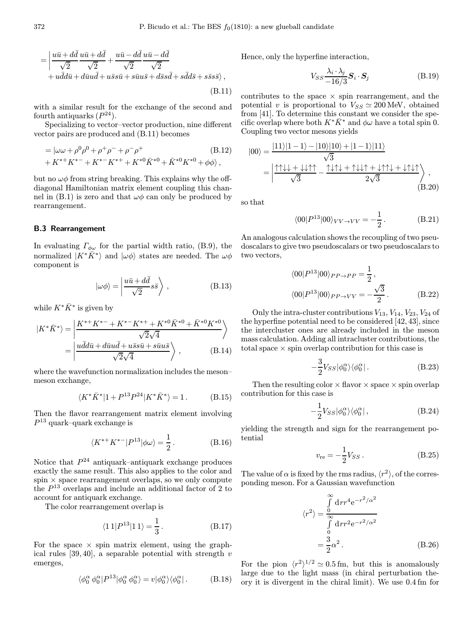$$
= \left| \frac{u\bar{u} + d\bar{d}}{\sqrt{2}} \frac{u\bar{u} + d\bar{d}}{\sqrt{2}} + \frac{u\bar{u} - d\bar{d}}{\sqrt{2}} \frac{u\bar{u} - d\bar{d}}{\sqrt{2}} + u\bar{d}d\bar{u} + d\bar{u}u\bar{d} + u\bar{s}s\bar{u} + s\bar{u}u\bar{s} + d\bar{s}s\bar{d} + s\bar{d}d\bar{s} + s\bar{s}s\bar{s} \right\rangle, \tag{B.11}
$$

with a similar result for the exchange of the second and fourth antiquarks  $(P^{24})$ .

Specializing to vector–vector production, nine different vector pairs are produced and (B.11) becomes

= 
$$
|\omega\omega + \rho^0\rho^0 + \rho^+ \rho^- + \rho^- \rho^+
$$
 (B.12)  
+  $K^{*+}K^{*-} + K^{*-}K^{*+} + K^{*0}\bar{K}^{*0} + \bar{K}^{*0}K^{*0} + \phi\phi\rangle$ ,

but no  $\omega\phi$  from string breaking. This explains why the offdiagonal Hamiltonian matrix element coupling this channel in (B.1) is zero and that  $\omega\phi$  can only be produced by rearrangement.

#### B.3 Rearrangement

In evaluating  $\Gamma_{\phi\omega}$  for the partial width ratio, (B.9), the normalized  $|K^*\bar{K}^*\rangle$  and  $|\omega\phi\rangle$  states are needed. The  $\omega\phi$ component is

$$
|\omega\phi\rangle = \left|\frac{u\bar{u} + d\bar{d}}{\sqrt{2}}s\bar{s}\right\rangle, \qquad (B.13)
$$

while  $K^*\bar{K}^*$  is given by

$$
|K^*\bar{K}^*\rangle = \left|\frac{K^{*+}K^{*-}+K^{*-}K^{*+}+K^{*0}\bar{K}^{*0}+\bar{K}^{*0}K^{*0}}{\sqrt{2}\sqrt{4}}\right\rangle
$$

$$
=\left|\frac{u\bar{d}d\bar{u}+d\bar{u}u\bar{d}+u\bar{s}s\bar{u}+s\bar{u}u\bar{s}}{\sqrt{2}\sqrt{4}}\right\rangle, \qquad (B.14)
$$

where the wavefunction normalization includes the meson– meson exchange,

$$
\langle K^* \bar{K}^* | 1 + P^{13} P^{24} | K^* \bar{K}^* \rangle = 1. \tag{B.15}
$$

Then the flavor rearrangement matrix element involving  $P^{13}$  quark–quark exchange is

$$
\langle K^{*+}K^{*-}|P^{13}|\phi\omega\rangle = \frac{1}{2}.
$$
 (B.16)

Notice that  $P^{24}$  antiquark–antiquark exchange produces exactly the same result. This also applies to the color and spin  $\times$  space rearrangement overlaps, so we only compute the  $P^{13}$  overlaps and include an additional factor of 2 to account for antiquark exchange.

The color rearrangement overlap is

$$
\langle 11|P^{13}|11\rangle = \frac{1}{3}.
$$
 (B.17)

For the space  $\times$  spin matrix element, using the graphical rules  $[39, 40]$ , a separable potential with strength v emerges,

$$
\langle \phi_0^{\alpha} \phi_0^{\alpha} | P^{13} | \phi_0^{\alpha} \phi_0^{\alpha} \rangle = v | \phi_0^{\alpha} \rangle \langle \phi_0^{\alpha} |.
$$
 (B.18)

Hence, only the hyperfine interaction,

$$
V_{SS} \frac{\lambda_i \cdot \lambda_j}{-16/3} \mathbf{S}_i \cdot \mathbf{S}_j \tag{B.19}
$$

contributes to the space  $\times$  spin rearrangement, and the potential v is proportional to  $V_{SS} \simeq 200$  MeV, obtained from [41]. To determine this constant we consider the specific overlap where both  $K^*\bar{K}^*$  and  $\phi\omega$  have a total spin 0. Coupling two vector mesons yields

$$
|00\rangle = \frac{|11\rangle|1-1\rangle-|10\rangle|10\rangle+|1-1\rangle|11\rangle}{\sqrt{3}}
$$
  
= 
$$
\left| \frac{\uparrow\uparrow\downarrow\downarrow + \downarrow\downarrow\uparrow\uparrow}{\sqrt{3}} - \frac{\uparrow\downarrow\uparrow\downarrow + \uparrow\downarrow\downarrow\uparrow + \downarrow\uparrow\uparrow\downarrow + \downarrow\uparrow\downarrow\uparrow}{2\sqrt{3}} \right\rangle
$$
, (B.20)

so that

$$
\langle 00|P^{13}|00\rangle_{VV\to VV} = -\frac{1}{2}.
$$
 (B.21)

An analogous calculation shows the recoupling of two pseudoscalars to give two pseudoscalars or two pseudoscalars to two vectors,

$$
\langle 00|P^{13}|00\rangle_{PP\to PP} = \frac{1}{2},
$$
  

$$
\langle 00|P^{13}|00\rangle_{PP\to VV} = -\frac{\sqrt{3}}{2}.
$$
 (B.22)

Only the intra-cluster contributions  $V_{13}$ ,  $V_{14}$ ,  $V_{23}$ ,  $V_{24}$  of the hyperfine potential need to be considered [42, 43], since the intercluster ones are already included in the meson mass calculation. Adding all intracluster contributions, the total space  $\times$  spin overlap contribution for this case is

$$
-\frac{3}{2}V_{SS}|\phi_0^{\alpha}\rangle\langle\phi_0^{\alpha}|.\tag{B.23}
$$

Then the resulting color  $\times$  flavor  $\times$  space  $\times$  spin overlap contribution for this case is

$$
-\frac{1}{2}V_{SS}|\phi_0^{\alpha}\rangle\langle\phi_0^{\alpha}|,
$$
 (B.24)

yielding the strength and sign for the rearrangement potential

$$
v_{\rm re} = -\frac{1}{2} V_{SS} . \tag{B.25}
$$

The value of  $\alpha$  is fixed by the rms radius,  $\langle r^2 \rangle$ , of the corresponding meson. For a Gaussian wavefunction

$$
\langle r^2 \rangle = \frac{\int_{0}^{\infty} dr r^4 e^{-r^2/\alpha^2}}{\int_{0}^{\infty} dr r^2 e^{-r^2/\alpha^2}} = \frac{3}{2} \alpha^2.
$$
 (B.26)

For the pion  $\langle r^2 \rangle^{1/2} \simeq 0.5$  fm, but this is anomalously large due to the light mass (in chiral perturbation theory it is divergent in the chiral limit). We use 0.4 fm for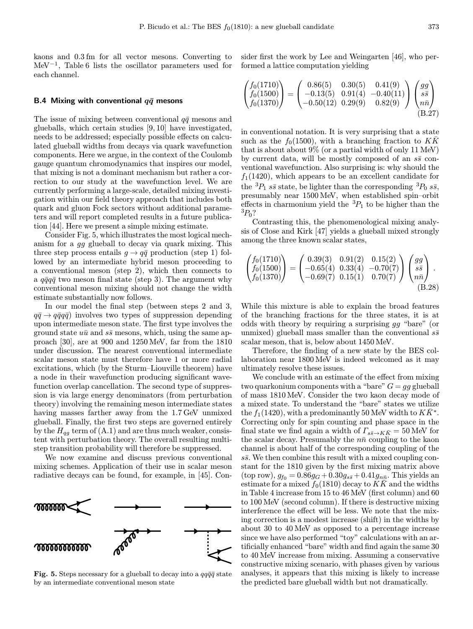kaons and 0.3 fm for all vector mesons. Converting to MeV<sup>−</sup><sup>1</sup>, Table 6 lists the oscillator parameters used for each channel.

## B.4 Mixing with conventional  $q\bar{q}$  mesons

The issue of mixing between conventional  $q\bar{q}$  mesons and glueballs, which certain studies [9, 10] have investigated, needs to be addressed; especially possible effects on calculated glueball widths from decays via quark wavefunction components. Here we argue, in the context of the Coulomb gauge quantum chromodynamics that inspires our model, that mixing is not a dominant mechanism but rather a correction to our study at the wavefunction level. We are currently performing a large-scale, detailed mixing investigation within our field theory approach that includes both quark and gluon Fock sectors without additional parameters and will report completed results in a future publication [44]. Here we present a simple mixing estimate.

Consider Fig. 5, which illustrates the most logical mechanism for a gg glueball to decay via quark mixing. This three step process entails  $g \to q\bar{q}$  production (step 1) followed by an intermediate hybrid meson proceeding to a conventional meson (step 2), which then connects to a  $q\bar{q}q\bar{q}$  two meson final state (step 3). The argument why conventional meson mixing should not change the width estimate substantially now follows.

In our model the final step (between steps 2 and 3,  $q\bar{q} \rightarrow q\bar{q}q\bar{q}$  involves two types of suppression depending upon intermediate meson state. The first type involves the ground state  $u\bar{u}$  and  $s\bar{s}$  mesons, which, using the same approach [30], are at 900 and 1250 MeV, far from the 1810 under discussion. The nearest conventional intermediate scalar meson state must therefore have 1 or more radial excitations, which (by the Sturm–Liouville theorem) have a node in their wavefunction producing significant wavefunction overlap cancellation. The second type of suppression is via large energy denominators (from perturbation theory) involving the remaining meson intermediate states having masses farther away from the 1.7 GeV unmixed glueball. Finally, the first two steps are governed entirely by the  $H_{qq}$  term of (A.1) and are thus much weaker, consistent with perturbation theory. The overall resulting multistep transition probability will therefore be suppressed.

We now examine and discuss previous conventional mixing schemes. Application of their use in scalar meson radiative decays can be found, for example, in [45]. Con-



Fig. 5. Steps necessary for a glueball to decay into a  $qq\bar{q}\bar{q}$  state by an intermediate conventional meson state

sider first the work by Lee and Weingarten [46], who performed a lattice computation yielding

$$
\begin{pmatrix} f_0(1710) \\ f_0(1500) \\ f_0(1370) \end{pmatrix} = \begin{pmatrix} 0.86(5) & 0.30(5) & 0.41(9) \\ -0.13(5) & 0.91(4) & -0.40(11) \\ -0.50(12) & 0.29(9) & 0.82(9) \end{pmatrix} \begin{pmatrix} gg \\ s\bar{s} \\ n\bar{n} \end{pmatrix}
$$
\n(B.27)

in conventional notation. It is very surprising that a state such as the  $f_0(1500)$ , with a branching fraction to  $K\overline{K}$ that is about about  $9\%$  (or a partial width of only 11 MeV) by current data, will be mostly composed of an  $s\bar{s}$  conventional wavefunction. Also surprising is: why should the  $f_1(1420)$ , which appears to be an excellent candidate for the  ${}^{3}P_1$  ss state, be lighter than the corresponding  ${}^{3}P_0$  ss, presumably near 1500 MeV, when established spin–orbit effects in charmonium yield the  ${}^{3}P_{1}$  to be higher than the  ${}^{3}P_{0}$ ?

Contrasting this, the phenomenological mixing analysis of Close and Kirk [47] yields a glueball mixed strongly among the three known scalar states,

$$
\begin{pmatrix} f_0(1710) \\ f_0(1500) \\ f_0(1370) \end{pmatrix} = \begin{pmatrix} 0.39(3) & 0.91(2) & 0.15(2) \\ -0.65(4) & 0.33(4) & -0.70(7) \\ -0.69(7) & 0.15(1) & 0.70(7) \end{pmatrix} \begin{pmatrix} gg \\ s\bar{s} \\ n\bar{n} \end{pmatrix}.
$$
\n(B.28)

While this mixture is able to explain the broad features of the branching fractions for the three states, it is at odds with theory by requiring a surprising gg "bare" (or unmixed) glueball mass smaller than the conventional  $s\bar{s}$ scalar meson, that is, below about 1450 MeV.

Therefore, the finding of a new state by the BES collaboration near 1800 MeV is indeed welcomed as it may ultimately resolve these issues.

We conclude with an estimate of the effect from mixing two quarkonium components with a "bare"  $G = gg$  glueball of mass 1810 MeV. Consider the two kaon decay mode of a mixed state. To understand the "bare" states we utilize the  $f_1(1420)$ , with a predominantly 50 MeV width to  $K\bar{K}^*$ . Correcting only for spin counting and phase space in the final state we find again a width of  $\Gamma_{s\bar{s}\to K\bar{K}} = 50$  MeV for the scalar decay. Presumably the  $n\bar{n}$  coupling to the kaon channel is about half of the corresponding coupling of the  $s\bar{s}$ . We then combine this result with a mixed coupling constant for the 1810 given by the first mixing matrix above  $(\text{top row}), g_{f0} = 0.86g_G + 0.30g_{s\bar{s}} + 0.41g_{n\bar{n}}$ . This yields an estimate for a mixed  $f_0(1810)$  decay to KK and the widths in Table 4 increase from 15 to 46 MeV (first column) and 60 to 100 MeV (second column). If there is destructive mixing interference the effect will be less. We note that the mixing correction is a modest increase (shift) in the widths by about 30 to 40 MeV as opposed to a percentage increase since we have also performed "toy" calculations with an artificially enhanced "bare" width and find again the same 30 to 40 MeV increase from mixing. Assuming a conservative constructive mixing scenario, with phases given by various analyses, it appears that this mixing is likely to increase the predicted bare glueball width but not dramatically.